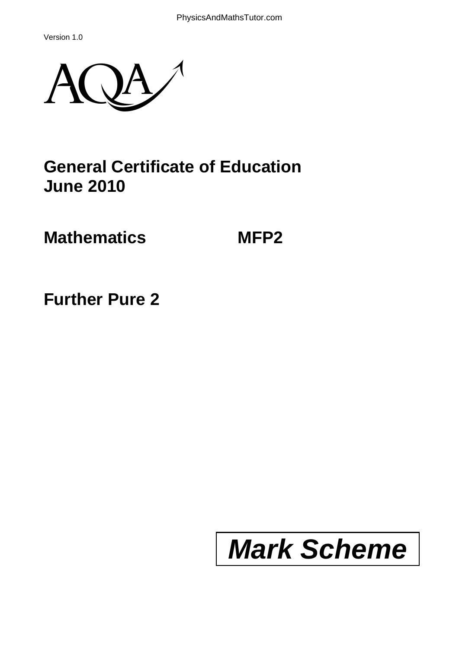Version 1.0



# **General Certificate of Education June 2010**

**Mathematics MFP2** 

**Further Pure 2**

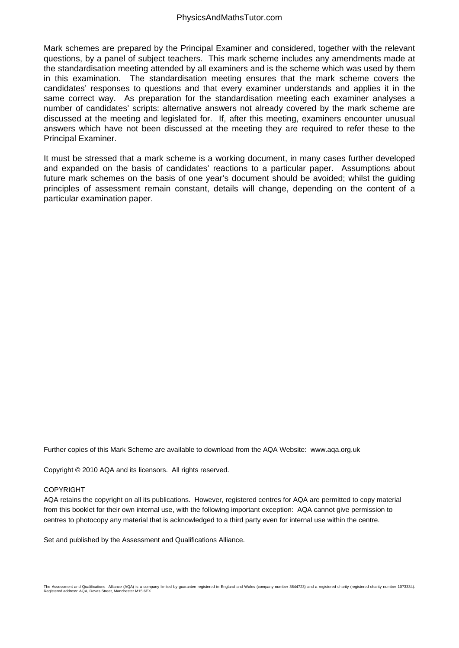Mark schemes are prepared by the Principal Examiner and considered, together with the relevant questions, by a panel of subject teachers. This mark scheme includes any amendments made at the standardisation meeting attended by all examiners and is the scheme which was used by them in this examination. The standardisation meeting ensures that the mark scheme covers the candidates' responses to questions and that every examiner understands and applies it in the same correct way. As preparation for the standardisation meeting each examiner analyses a number of candidates' scripts: alternative answers not already covered by the mark scheme are discussed at the meeting and legislated for. If, after this meeting, examiners encounter unusual answers which have not been discussed at the meeting they are required to refer these to the Principal Examiner.

It must be stressed that a mark scheme is a working document, in many cases further developed and expanded on the basis of candidates' reactions to a particular paper. Assumptions about future mark schemes on the basis of one year's document should be avoided; whilst the guiding principles of assessment remain constant, details will change, depending on the content of a particular examination paper.

Further copies of this Mark Scheme are available to download from the AQA Website: www.aqa.org.uk

Copyright © 2010 AQA and its licensors. All rights reserved.

#### COPYRIGHT

AQA retains the copyright on all its publications. However, registered centres for AQA are permitted to copy material from this booklet for their own internal use, with the following important exception: AQA cannot give permission to centres to photocopy any material that is acknowledged to a third party even for internal use within the centre.

Set and published by the Assessment and Qualifications Alliance.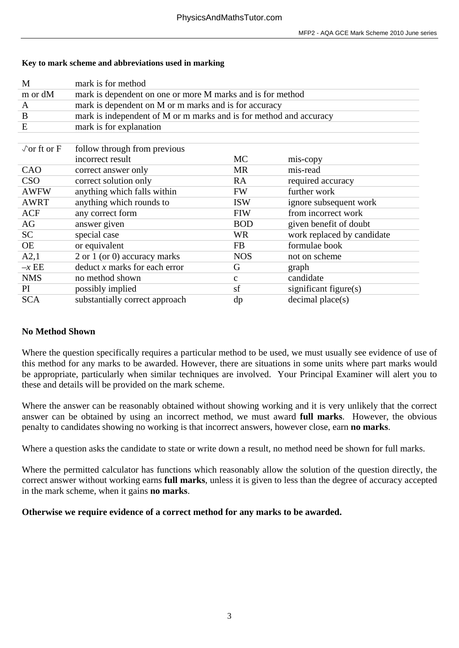### **Key to mark scheme and abbreviations used in marking**

| M                          | mark is for method                                                 |             |                            |  |
|----------------------------|--------------------------------------------------------------------|-------------|----------------------------|--|
| m or dM                    | mark is dependent on one or more M marks and is for method         |             |                            |  |
| A                          | mark is dependent on M or m marks and is for accuracy              |             |                            |  |
| B                          | mark is independent of M or m marks and is for method and accuracy |             |                            |  |
| E                          | mark is for explanation                                            |             |                            |  |
|                            |                                                                    |             |                            |  |
| $\sqrt{\text{or ft or F}}$ | follow through from previous                                       |             |                            |  |
|                            | incorrect result                                                   | <b>MC</b>   | mis-copy                   |  |
| CAO                        | correct answer only                                                | <b>MR</b>   | mis-read                   |  |
| <b>CSO</b>                 | correct solution only                                              | RA          | required accuracy          |  |
| <b>AWFW</b>                | anything which falls within                                        | <b>FW</b>   | further work               |  |
| <b>AWRT</b>                | anything which rounds to                                           | <b>ISW</b>  | ignore subsequent work     |  |
| <b>ACF</b>                 | any correct form                                                   | <b>FIW</b>  | from incorrect work        |  |
| AG                         | answer given                                                       | <b>BOD</b>  | given benefit of doubt     |  |
| <b>SC</b>                  | special case                                                       | <b>WR</b>   | work replaced by candidate |  |
| <b>OE</b>                  | or equivalent                                                      | <b>FB</b>   | formulae book              |  |
| A2,1                       | 2 or 1 (or 0) accuracy marks                                       | <b>NOS</b>  | not on scheme              |  |
| $-xEE$                     | deduct x marks for each error                                      | G           | graph                      |  |
| <b>NMS</b>                 | no method shown                                                    | $\mathbf c$ | candidate                  |  |
| PI                         | possibly implied                                                   | sf          | significant figure(s)      |  |
| <b>SCA</b>                 | substantially correct approach                                     | dp          | $decimal$ place $(s)$      |  |

# **No Method Shown**

Where the question specifically requires a particular method to be used, we must usually see evidence of use of this method for any marks to be awarded. However, there are situations in some units where part marks would be appropriate, particularly when similar techniques are involved. Your Principal Examiner will alert you to these and details will be provided on the mark scheme.

Where the answer can be reasonably obtained without showing working and it is very unlikely that the correct answer can be obtained by using an incorrect method, we must award **full marks**. However, the obvious penalty to candidates showing no working is that incorrect answers, however close, earn **no marks**.

Where a question asks the candidate to state or write down a result, no method need be shown for full marks.

Where the permitted calculator has functions which reasonably allow the solution of the question directly, the correct answer without working earns **full marks**, unless it is given to less than the degree of accuracy accepted in the mark scheme, when it gains **no marks**.

# **Otherwise we require evidence of a correct method for any marks to be awarded.**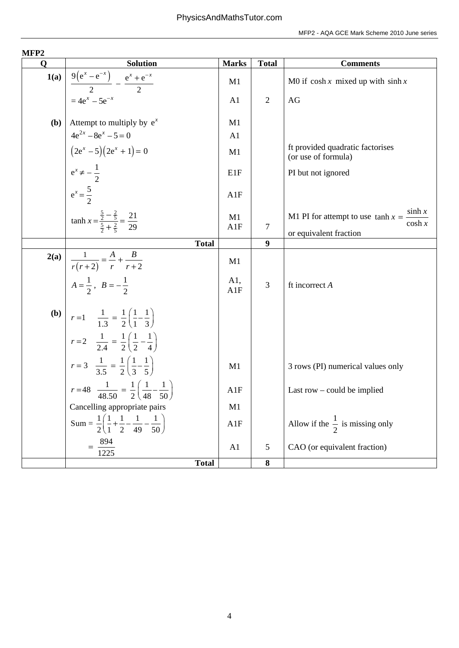| MFP <sub>2</sub> |                                                                                                                                                                                     |              |                  |                                                               |
|------------------|-------------------------------------------------------------------------------------------------------------------------------------------------------------------------------------|--------------|------------------|---------------------------------------------------------------|
| $\mathbf Q$      | <b>Solution</b>                                                                                                                                                                     | <b>Marks</b> | <b>Total</b>     | <b>Comments</b>                                               |
|                  | <b>1(a)</b> $\left[\frac{9(e^x - e^{-x})}{2} - \frac{e^x + e^{-x}}{2}\right] = 4e^x - 5e^{-x}$                                                                                      | M1           |                  | M0 if $\cosh x$ mixed up with $\sinh x$                       |
|                  |                                                                                                                                                                                     | A1           | $\overline{2}$   | AG                                                            |
|                  | <b>(b)</b> Attempt to multiply by $e^x$                                                                                                                                             | M1           |                  |                                                               |
|                  |                                                                                                                                                                                     | A1           |                  |                                                               |
|                  | $4e^{2x} - 8e^x - 5 = 0$<br>$(2e^x - 5)(2e^x + 1) = 0$                                                                                                                              | M1           |                  | ft provided quadratic factorises<br>(or use of formula)       |
|                  |                                                                                                                                                                                     | E1F          |                  | PI but not ignored                                            |
|                  | $e^x \neq -\frac{1}{2}$<br>$e^x = \frac{5}{2}$                                                                                                                                      | A1F          |                  |                                                               |
|                  | $anh x = \frac{\frac{5}{2} - \frac{2}{5}}{\frac{5}{2} + \frac{2}{5}} = \frac{21}{29}$                                                                                               | M1           |                  | sinh $x$<br>M1 PI for attempt to use $\tanh x =$<br>$\cosh x$ |
|                  |                                                                                                                                                                                     | A1F          | $\overline{7}$   | or equivalent fraction                                        |
|                  | <b>Total</b>                                                                                                                                                                        |              | 9                |                                                               |
| 2(a)             |                                                                                                                                                                                     | M1           |                  |                                                               |
|                  | <b>2(a)</b> $\frac{1}{r(r+2)} = \frac{A}{r} + \frac{B}{r+2}$<br>$A = \frac{1}{2}, B = -\frac{1}{2}$<br><b>(b)</b> $r = 1$ $\frac{1}{1.3} = \frac{1}{2} (\frac{1}{1} - \frac{1}{3})$ | A1,<br>A1F   | 3                | ft incorrect A                                                |
|                  |                                                                                                                                                                                     |              |                  |                                                               |
|                  | $r=2$ $\frac{1}{2.4} = \frac{1}{2} \left( \frac{1}{2} - \frac{1}{4} \right)$                                                                                                        |              |                  |                                                               |
|                  | $r = 3$ $\frac{1}{3.5} = \frac{1}{2} \left( \frac{1}{3} - \frac{1}{5} \right)$                                                                                                      | M1           |                  | 3 rows (PI) numerical values only                             |
|                  | $r = 48$ $\frac{1}{48.50} = \frac{1}{2} \left( \frac{1}{48} - \frac{1}{50} \right)$                                                                                                 | A1F          |                  | Last row $-$ could be implied                                 |
|                  | Cancelling appropriate pairs                                                                                                                                                        | M1           |                  |                                                               |
|                  | Sum = $\frac{1}{2} \left( \frac{1}{1} + \frac{1}{2} - \frac{1}{49} - \frac{1}{50} \right)$                                                                                          | A1F          |                  | Allow if the $\frac{1}{2}$ is missing only                    |
|                  | $=$ $\frac{894}{ }$<br>1225                                                                                                                                                         | A1           | $\sqrt{5}$       | CAO (or equivalent fraction)                                  |
|                  | <b>Total</b>                                                                                                                                                                        |              | $\boldsymbol{8}$ |                                                               |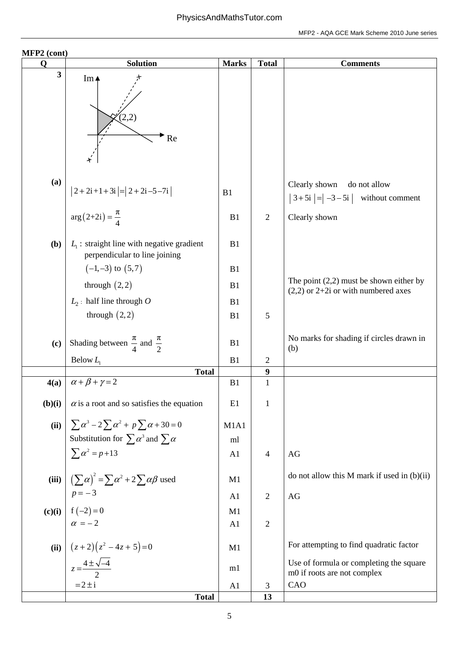| MFP2 (cont)             |                                                                               |              |                                  |                                                                                    |
|-------------------------|-------------------------------------------------------------------------------|--------------|----------------------------------|------------------------------------------------------------------------------------|
| $\mathbf Q$             | <b>Solution</b>                                                               | <b>Marks</b> | <b>Total</b>                     | <b>Comments</b>                                                                    |
| $\overline{\mathbf{3}}$ | Im $\triangle$<br>(2,2)<br>Re                                                 |              |                                  |                                                                                    |
| (a)                     | $ 2+2i+1+3i = 2+2i-5-7i $                                                     | B1           |                                  | Clearly shown do not allow<br>$3 + 5i$ = $-3 - 5i$ without comment                 |
|                         | $\arg(2+2i) = \frac{\pi}{4}$                                                  | B1           | $\overline{2}$                   | Clearly shown                                                                      |
| (b)                     | $L_1$ : straight line with negative gradient<br>perpendicular to line joining | B1           |                                  |                                                                                    |
|                         | $(-1,-3)$ to $(5,7)$                                                          | B1           |                                  |                                                                                    |
|                         | through $(2,2)$                                                               | B1           |                                  | The point $(2,2)$ must be shown either by<br>$(2,2)$ or 2+2i or with numbered axes |
|                         | $L_2$ : half line through O                                                   | B1           |                                  |                                                                                    |
|                         | through $(2,2)$                                                               | B1           | 5                                |                                                                                    |
| (c)                     | Shading between $\frac{\pi}{4}$ and $\frac{\pi}{2}$                           | B1           |                                  | No marks for shading if circles drawn in<br>(b)                                    |
|                         | Below $L_1$                                                                   | B1           | $\overline{2}$                   |                                                                                    |
| 4(a)                    | <b>Total</b><br>$\alpha + \beta + \gamma = 2$                                 | B1           | $\boldsymbol{9}$<br>$\mathbf{1}$ |                                                                                    |
| (b)(i)                  | $\alpha$ is a root and so satisfies the equation                              | E1           | $\mathbf{1}$                     |                                                                                    |
|                         | (ii) $\sum \alpha^3 - 2\sum \alpha^2 + p \sum \alpha + 30 = 0$                | M1A1         |                                  |                                                                                    |
|                         | Substitution for $\sum \alpha^3$ and $\sum \alpha$                            | ml           |                                  |                                                                                    |
|                         | $\sum \alpha^2 = p + 13$                                                      | A1           | $\overline{4}$                   | AG                                                                                 |
| (iii)                   | $\left(\sum \alpha\right)^2 = \sum \alpha^2 + 2\sum \alpha \beta$ used        | M1           |                                  | do not allow this M mark if used in $(b)(ii)$                                      |
|                         |                                                                               | A1           | $\overline{2}$                   | AG                                                                                 |
|                         | (c)(i) $p=-3$<br>$f(-2)=0$<br>$\alpha = -2$                                   | M1           |                                  |                                                                                    |
|                         |                                                                               | A1           | $\overline{2}$                   |                                                                                    |
|                         | (ii) $\left[\frac{(z+2)(z^2-4z+5)=0}{z=\frac{4\pm\sqrt{-4}}{2}}\right]$       | M1           |                                  | For attempting to find quadratic factor                                            |
|                         |                                                                               | m1           |                                  | Use of formula or completing the square<br>m0 if roots are not complex             |
|                         | $=2 \pm i$                                                                    | A1           | 3                                | CAO                                                                                |
|                         | <b>Total</b>                                                                  |              | 13                               |                                                                                    |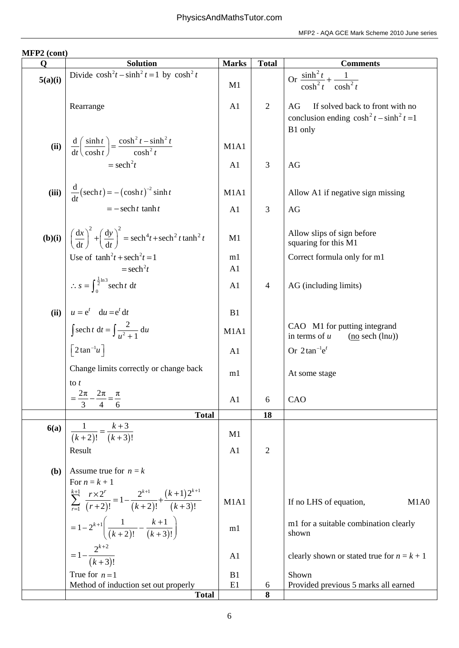| Q       | <b>Solution</b>                                                                                           | <b>Marks</b>         | <b>Total</b>   | <b>Comments</b>                                                                                   |
|---------|-----------------------------------------------------------------------------------------------------------|----------------------|----------------|---------------------------------------------------------------------------------------------------|
| 5(a)(i) | Divide $\cosh^2 t - \sinh^2 t = 1$ by $\cosh^2 t$                                                         | M1                   |                | Or $\frac{\sinh^2 t}{\cosh^2 t} + \frac{1}{\cosh^2 t}$                                            |
|         | Rearrange                                                                                                 | A <sub>1</sub>       | $\overline{2}$ | If solved back to front with no<br>AG<br>conclusion ending $\cosh^2 t - \sinh^2 t = 1$<br>B1 only |
| (ii)    | $\frac{d}{dt} \left( \frac{\sinh t}{\cosh t} \right) = \frac{\cosh^2 t - \sinh^2 t}{\cosh^2 t}$           | M1A1                 |                |                                                                                                   |
|         | $=$ sech <sup>2</sup> t                                                                                   | A1                   | 3              | AG                                                                                                |
| (iii)   | $\frac{d}{dt}(\operatorname{sech} t) = -(\cosh t)^{-2} \sinh t$                                           | M1A1                 |                | Allow A1 if negative sign missing                                                                 |
|         | $= -\operatorname{sech} t \tanh t$                                                                        | A <sub>1</sub>       | 3              | AG                                                                                                |
| (b)(i)  | $\left(\frac{dx}{dt}\right)^2 + \left(\frac{dy}{dt}\right)^2 = sech^4 t + sech^2 t \tanh^2 t$             | M1                   |                | Allow slips of sign before<br>squaring for this M1                                                |
|         | Use of $\tanh^2 t + \operatorname{sech}^2 t = 1$<br>$=$ sech <sup>2</sup> t                               | m1<br>A <sub>1</sub> |                | Correct formula only for m1                                                                       |
|         | $\therefore$ s = $\int_0^{\frac{1}{2} \ln 3}$ sech t dt                                                   | A1                   | $\overline{4}$ | AG (including limits)                                                                             |
| (ii)    | $u = e^t$ du = $e^t$ dt                                                                                   | B1                   |                |                                                                                                   |
|         | $\int \operatorname{sech} t \, \mathrm{d}t = \int \frac{2}{u^2 + 1} \, \mathrm{d}u$                       | M1A1                 |                | CAO M1 for putting integrand<br>in terms of $u$<br>$no sech (lnu)$                                |
|         | $\left\lceil 2 \tan^{-1} u \right\rceil$                                                                  | A <sub>1</sub>       |                | Or $2\tan^{-1}e^t$                                                                                |
|         | Change limits correctly or change back<br>to $t$                                                          | m1                   |                | At some stage                                                                                     |
|         | $\frac{2\pi}{\phantom{2}} - \frac{2\pi}{\phantom{2}} = \frac{\pi}{\phantom{2}}$<br>4<br>6                 | A1                   | 6              | CAO                                                                                               |
|         | <b>Total</b>                                                                                              |                      | 18             |                                                                                                   |
| 6(a)    | $\frac{1}{(k+2)!} = \frac{k+3}{(k+3)!}$                                                                   | M1                   |                |                                                                                                   |
|         | Result                                                                                                    | A <sub>1</sub>       | $\overline{2}$ |                                                                                                   |
| (b)     | Assume true for $n = k$                                                                                   |                      |                |                                                                                                   |
|         | For $n = k + 1$                                                                                           |                      |                |                                                                                                   |
|         | $\sum_{r=1}^{k+1} \frac{r \times 2^r}{(r+2)!} = 1 - \frac{2^{k+1}}{(k+2)!} + \frac{(k+1)2^{k+1}}{(k+3)!}$ | M1A1                 |                | If no LHS of equation,<br>M1A0                                                                    |
|         | $= 1 - 2^{k+1} \left( \frac{1}{(k+2)!} - \frac{k+1}{(k+3)!} \right)$                                      | m1                   |                | m1 for a suitable combination clearly<br>shown                                                    |
|         | $=1-\frac{2^{k+2}}{(k+3)!}$                                                                               | A <sub>1</sub>       |                | clearly shown or stated true for $n = k + 1$                                                      |
|         | True for $n=1$                                                                                            | B1                   |                | Shown                                                                                             |
|         | Method of induction set out properly<br><b>Total</b>                                                      | E1                   | 6<br>8         | Provided previous 5 marks all earned                                                              |
|         |                                                                                                           |                      |                |                                                                                                   |